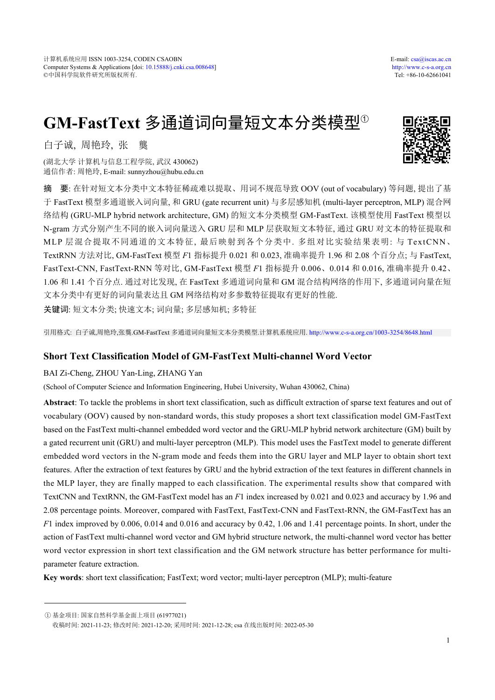# **GM-FastText** 多通道词向量短文本分类模型<sup>①</sup>

白子诚, 周艳玲, 张 龑

(湖北大学 计算机与信息工程学院, 武汉 430062) 通信作者: 周艳玲, E-mail: sunnyzhou@hubu.edu.cn

摘 要: 在针对短文本分类中文本特征稀疏难以提取、用词不规范导致 OOV (out of vocabulary) 等问题, 提出了基 于 FastText 模型多通道嵌入词向量, 和 GRU (gate recurrent unit) 与多层感知机 (multi-layer perceptron, MLP) 混合网 络结构 (GRU-MLP hybrid network architecture, GM) 的短文本分类模型 GM-FastText. 该模型使用 FastText 模型以 N-gram 方式分别产生不同的嵌入词向量送入 GRU 层和 MLP 层获取短文本特征, 通过 GRU 对文本的特征提取和 MLP 层混合提取不同通道的文本特征, 最后映射到各个分类中. 多组对比实验结果表明: 与 TextCNN、 TextRNN 方法对比, GM-FastText 模型 *F*1 指标提升 0.021 和 0.023, 准确率提升 1.96 和 2.08 个百分点; 与 FastText, FastText-CNN, FastText-RNN 等对比, GM-FastText 模型 *F*1 指标提升 0.006、0.014 和 0.016, 准确率提升 0.42、 1.06 和 1.41 个百分点. 通过对比发现, 在 FastText 多通道词向量和 GM 混合结构网络的作用下, 多通道词向量在短 文本分类中有更好的词向量表达且 GM 网络结构对多参数特征提取有更好的性能.

关键词: 短文本分类; 快速文本; 词向量; 多层感知机; 多特征

引用格式: 白子诚,周艳玲,张龑.GM-FastText 多通道词向量短文本分类模型.计算机系统应用. <http://www.c-s-a.org.cn/1003-3254/8648.html>

# **Short Text Classification Model of GM-FastText Multi-channel Word Vector**

# BAI Zi-Cheng, ZHOU Yan-Ling, ZHANG Yan

(School of Computer Science and Information Engineering, Hubei University, Wuhan 430062, China)

**Abstract**: To tackle the problems in short text classification, such as difficult extraction of sparse text features and out of vocabulary (OOV) caused by non-standard words, this study proposes a short text classification model GM-FastText based on the FastText multi-channel embedded word vector and the GRU-MLP hybrid network architecture (GM) built by a gated recurrent unit (GRU) and multi-layer perceptron (MLP). This model uses the FastText model to generate different embedded word vectors in the N-gram mode and feeds them into the GRU layer and MLP layer to obtain short text features. After the extraction of text features by GRU and the hybrid extraction of the text features in different channels in the MLP layer, they are finally mapped to each classification. The experimental results show that compared with TextCNN and TextRNN, the GM-FastText model has an *F*1 index increased by 0.021 and 0.023 and accuracy by 1.96 and 2.08 percentage points. Moreover, compared with FastText, FastText-CNN and FastText-RNN, the GM-FastText has an *F*1 index improved by 0.006, 0.014 and 0.016 and accuracy by 0.42, 1.06 and 1.41 percentage points. In short, under the action of FastText multi-channel word vector and GM hybrid structure network, the multi-channel word vector has better word vector expression in short text classification and the GM network structure has better performance for multiparameter feature extraction.

**Key words**: short text classification; FastText; word vector; multi-layer perceptron (MLP); multi-feature



① 基金项目: 国家自然科学基金面上项目 (61977021)

收稿时间: 2021-11-23; 修改时间: 2021-12-20; 采用时间: 2021-12-28; csa 在线出版时间: 2022-05-30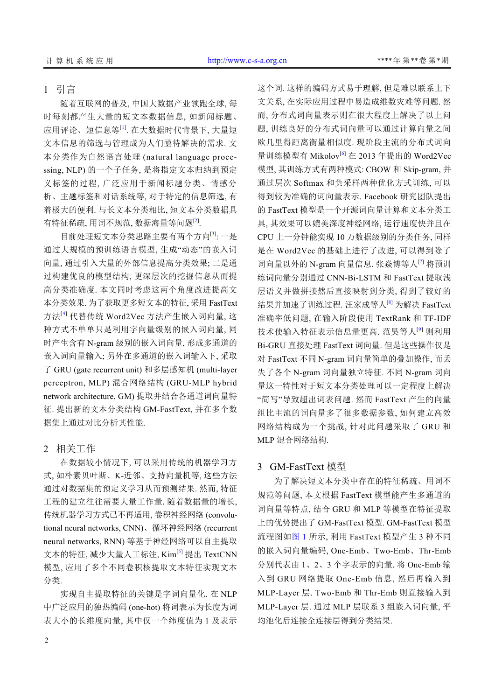# 1 引言

随着互联网的普及, 中国大数据产业领跑全球, 每 时每刻都产生大量的短文本数据信息, 如新闻标题、 应用评论、短信息等<sup>[[1\]](#page-5-0)</sup>. 在大数据时代背景下, 大量短 文本信息的筛选与管理成为人们亟待解决的需求. 文 本分类作为自然语言处理 (natural language processing, NLP) 的一个子任务, 是将指定文本归纳到预定 义标签的过程, 广泛应用于新闻标题分类、情感分 析、主题标签和对话系统等, 对于特定的信息筛选, 有 着极大的便利. 与长文本分类相比, 短文本分类数据具 有特征稀疏, 用词不规范, 数据海量等问题<sup>[\[2](#page-5-1)]</sup>.

目前处理短文本分类思路主要有两个方向[[3](#page-5-2)]: 一是 通过大规模的预训练语言模型, 生成"动态"的嵌入词 向量, 通过引入大量的外部信息提高分类效果; 二是通 过构建优良的模型结构, 更深层次的挖掘信息从而提 高分类准确度. 本文同时考虑这两个角度改进提高文 本分类效果. 为了获取更多短文本的特征, 采用 FastText 方法[\[4](#page-5-3)] 代替传统 Word2Vec 方法产生嵌入词向量, 这 种方式不单单只是利用字向量级别的嵌入词向量, 同 时产生含有 N-gram 级别的嵌入词向量, 形成多通道的 嵌入词向量输入; 另外在多通道的嵌入词输入下, 采取 了 GRU (gate recurrent unit) 和多层感知机 (multi-layer perceptron, MLP) 混合网络结构 (GRU-MLP hybrid network architecture, GM) 提取并结合各通道词向量特 征. 提出新的文本分类结构 GM-FastText, 并在多个数 据集上通过对比分析其性能.

## 2 相关工作

在数据较小情况下, 可以采用传统的机器学习方 式, 如朴素贝叶斯、K-近邻、支持向量机等, 这些方法 通过对数据集的预定义学习从而预测结果. 然而, 特征 工程的建立往往需要大量工作量. 随着数据量的增长, 传统机器学习方式已不再适用, 卷积神经网络 (convolutional neural networks, CNN)、循环神经网络 (recurrent neural networks, RNN) 等基于神经网络可以自主提取 文本的特征, 减少大量人工标注, Kim<sup>[[5\]](#page-5-4)</sup> 提出 TextCNN 模型, 应用了多个不同卷积核提取文本特征实现文本 分类.

实现自主提取特征的关键是字词向量化. 在 NLP 中广泛应用的独热编码 (one-hot) 将词表示为长度为词 表大小的长维度向量, 其中仅一个纬度值为 1 及表示

这个词. 这样的编码方式易于理解, 但是难以联系上下 文关系, 在实际应用过程中易造成维数灾难等问题. 然 而, 分布式词向量表示则在很大程度上解决了以上问 题, 训练良好的分布式词向量可以通过计算向量之间 欧几里得距离衡量相似度. 现阶段主流的分布式词向 量训练模型有 Mikolov[[6](#page-5-5)] 在 2013 年提出的 Word2Vec 模型, 其训练方式有两种模式: CBOW 和 Skip-gram, 并 通过层次 Softmax 和负采样两种优化方式训练, 可以 得到较为准确的词向量表示. Facebook 研究团队提出 的 FastText 模型是一个开源词向量计算和文本分类工 具, 其效果可以媲美深度神经网络, 运行速度快并且在 CPU 上一分钟能实现 10 万数据级别的分类任务, 同样 是在 Word2Vec 的基础上进行了改进, 可以得到除了 词向量以外的 N-gram 向量信息. 张焱博等人[[7](#page-5-6)] 将预训 练词向量分别通过 CNN-Bi-LSTM 和 FastText 提取浅 层语义并做拼接然后直接映射到分类, 得到了较好的 结果并加速了训练过程. 汪家成等人<sup>[\[8](#page-5-7)]</sup> 为解决 FastText 准确率低问题, 在输入阶段使用 TextRank 和 TF-IDF 技术使输入特征表示信息量更高. 范昊等人[[9](#page-5-8)] 则利用 Bi-GRU 直接处理 FastText 词向量. 但是这些操作仅是 对 FastText 不同 N-gram 词向量简单的叠加操作, 而丢 失了各个 N-gram 词向量独立特征. 不同 N-gram 词向 量这一特性对于短文本分类处理可以一定程度上解决 "简写"导致超出词表问题. 然而 FastText 产生的向量 组比主流的词向量多了很多数据参数, 如何建立高效 网络结构成为一个挑战, 针对此问题采取了 GRU 和 MLP 混合网络结构.

## 3 GM-FastText 模型

为了解决短文本分类中存在的特征稀疏、用词不 规范等问题, 本文根据 FastText 模型能产生多通道的 词向量等特点, 结合 GRU 和 MLP 等模型在特征提取 上的优势[提出了](#page-2-0) GM-FastText 模型. GM-FastText 模型 流程图如[图](#page-2-0) [1](#page-2-0) 所示, 利用 FastText 模型产生 3 种不同 的嵌入词向量编码, One-Emb、Two-Emb、Thr-Emb 分别代表由 1、2、3 个字表示的向量. 将 One-Emb 输 入到 GRU 网络提取 One-Emb 信息, 然后再输入到 MLP-Layer 层. Two-Emb 和 Thr-Emb 则直接输入到 MLP-Layer 层. 通过 MLP 层联系 3 组嵌入词向量, 平 均池化后连接全连接层得到分类结果.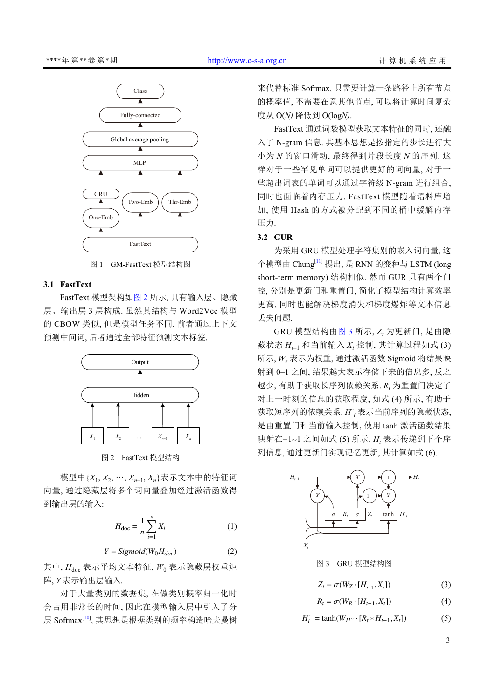

图 1 GM-FastText 模型结构图

#### <span id="page-2-0"></span>**3.1 FastText**

FastText 模型架构[如图](#page-2-1) [2](#page-2-1) 所示, 只有输入层、隐藏 层、输出层 3 层构成. 虽然其结构与 Word2Vec 模型 的 CBOW 类似, 但是模型任务不同. 前者通过上下文 预测中间词, 后者通过全部特征预测文本标签.



图 2 FastText 模型结构

<span id="page-2-1"></span>模型中{*X*<sup>1</sup> , *X*<sup>2</sup> , …, *X<sup>n</sup>*–1, *Xn*}表示文本中的特征词 向量, 通过隐藏层将多个词向量叠加经过激活函数得 到输出层的输入:

$$
H_{\rm doc} = \frac{1}{n} \sum_{i=1}^{n} X_i
$$
 (1)

 $Y = Sigmoid(W_0 H_{doc})$  (2)

其中, *H*doc 表示平均文本特征, *W*<sup>0</sup> 表示隐藏层权重矩 阵, *Y* 表示输出层输入.

对于大量类别的数据集, 在做类别概率归一化时 会占用非常长的时间, 因此在模型输入层中引入了分 层 Softmax[\[10](#page-5-9)], 其思想是根据类别的频率构造哈夫曼树 来代替标准 Softmax, 只需要计算一条路径上所有节点 的概率值, 不需要在意其他节点, 可以将计算时间复杂 度从 O(*N)* 降低到 O(log*N)*.

FastText 通过词袋模型获取文本特征的同时, 还融 入了 N-gram 信息. 其基本思想是按指定的步长进行大 小为 *N* 的窗口滑动, 最终得到片段长度 *N* 的序列. 这 样对于一些罕见单词可以提供更好的词向量, 对于一 些超出词表的单词可以通过字符级 N-gram 进行组合, 同时也面临着内存压力. FastText 模型随着语料库增 加, 使用 Hash 的方式被分配到不同的桶中缓解内存 压力.

# **3.2 GUR**

为采用 GRU 模型处理字符集别的嵌入词向量, 这 个模型由 Chung[\[11](#page-5-10)] 提出, 是 RNN 的变种与 LSTM (long short-term memory) 结构相似. 然而 GUR 只有两个门 控, 分别是更新门和重置门, 简化了模型结构计算效率 更高, 同时也能解决梯度消失和梯度爆炸等文本信息 丢失问题.

GRU 模型结构由[图](#page-2-2) [3](#page-2-2) 所示, *Z<sup>t</sup>* 为更新门, 是由隐 藏状态 *H<sup>t</sup>*–1 和当前输入 *X<sup>t</sup>* 控制, 其计算过程如式 (3) 所示, *W<sup>z</sup>* 表示为权重, 通过激活函数 Sigmoid 将结果映 射到 0–1 之间, 结果越大表示存储下来的信息多, 反之 越少, 有助于获取长序列依赖关系. *R<sup>t</sup>* 为重置门决定了 对上一时刻的信息的获取程度, 如式 (4) 所示, 有助于 获取短序列的依赖关系. *H*<sup>r</sup> 表示当前序列的隐藏状态, 是由重置门和当前输入控制, 使用 tanh 激活函数结果 映射在−1~1 之间如式 (5) 所示. *H<sup>t</sup>* 表示传递到下个序 列信息, 通过更新门实现记忆更新, 其计算如式 (6).



<span id="page-2-2"></span>图 3 GRU 模型结构图

$$
Z_t = \sigma(W_Z \cdot [H_{t-1}, X_t]) \tag{3}
$$

$$
R_t = \sigma(W_R \cdot [H_{t-1}, X_t]) \tag{4}
$$

$$
H_t^{\sim} = \tanh(W_{H^{\sim}} \cdot [R_t * H_{t-1}, X_t]) \tag{5}
$$

3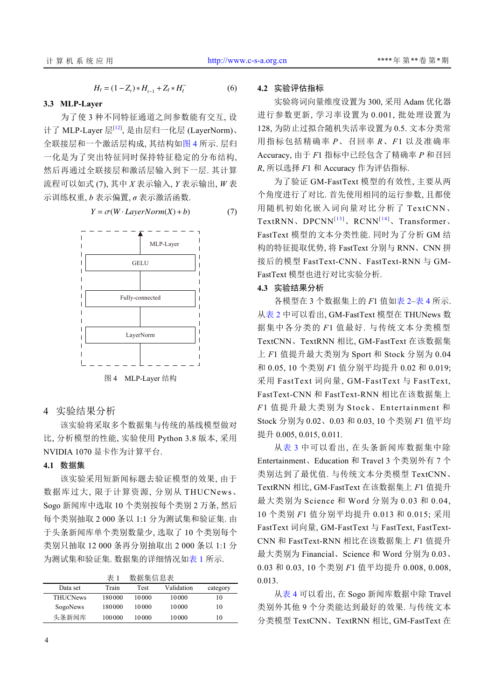$$
H_t = (1 - Z_t) * H_{t-1} + Z_t * H_t^{\sim}
$$
 (6)

## **3.3 MLP-Layer**

 为了使 3 种不同特征通道之间参数能有交互, 设 计了 MLP-Layer 层<sup>[\[12\]](#page-5-11)</sup>, 是由层归一化层 (LayerNorm)、 全联接层和一个激活层构成, 其结构如[图](#page-3-0) [4](#page-3-0) 所示. 层归 一化是为了突出特征同时保持特征稳定的分布结构, 然后再通过全联接层和激活层输入到下一层. 其计算 流程可以如式 (7), 其中 *X* 表示输入, *Y* 表示输出, *W* 表 示训练权重, *b* 表示偏置, *σ* 表示激活函数.

 $Y = \sigma(W \cdot LayerNorm(X) + b)$  (7)



<span id="page-3-0"></span>4 实验结果分析

该实验将采取多个数据集与传统的基线模型做对 比, 分析模型的性能, 实验使用 Python 3.8 版本, 采用 NVIDIA 1070 显卡作为计算平台.

# **4.1** 数据集

该实验采用短新闻标题去验证模型的效果, 由于 数据库过大, 限于计算资源, 分别从 THUCNews、 Sogo 新闻库中选取 10 个类别按每个类别 2 万条, 然后 每个类别抽取 2 000 条以 1:1 分为测试集和验证集. 由 于头条新闻库单个类别数量少, 选取了 10 个类别每个 类别只抽取 12 000 条再分别抽取出 2 000 条以 1:1 分 为测试集和验证集. 数据集的详细情况[如表](#page-3-1) [1](#page-3-1) 所示.

<span id="page-3-1"></span>

|                 | 表 1    | 数据集信息表 |            |          |
|-----------------|--------|--------|------------|----------|
| Data set        | Train  | Test   | Validation | category |
| <b>THUCNews</b> | 180000 | 10000  | 10000      | 10       |
| SogoNews        | 180000 | 10000  | 10000      | 10       |
| 头条新闻库           | 100000 | 10000  | 10000      | 10       |

#### **4.2** 实验评估指标

实验将词向量维度设置为 300, 采用 Adam 优化器 进行参数更新, 学习率设置为 0.001, 批处理设置为 128, 为防止过拟合随机失活率设置为 0.5. 文本分类常 用指标包括精确率 *P*、召回率 *R*、*F*1 以及准确率 Accuracy, 由于 *F*1 指标中已经包含了精确率 *P* 和召回 *R*, 所以选择 *F*1 和 Accuracy 作为评估指标.

为了验证 GM-FastText 模型的有效性, 主要从两 个角度进行了对比. 首先使用相同的运行参数, 且都使 用随机初始化嵌入词向量对比分析了 TextCNN、 TextRNN、DPCNN<sup>[13]</sup>、RCNN<sup>[14]</sup>、Transformer、 FastText 模型的文本分类性能. 同时为了分析 GM 结 构的特征提取优势, 将 FastText 分别与 RNN、CNN 拼 接后的模型 FastText-CNN、FastText-RNN 与 GM-FastText 模型也进行对比实验分析.

## **4.3** 实验结果分析

各模型在 3 个数据集上的 *F*1 值[如表](#page-4-0) [2–](#page-4-0)[表](#page-4-1) [4](#page-4-1) 所示. 从[表](#page-4-0) [2](#page-4-0) 中可以看出, GM-FastText 模型在 THUNews 数 据集中各分类的 *F*1 值最好. 与传统文本分类模型 TextCNN、TextRNN 相比, GM-FastText 在该数据集 上 *F*1 值提升最大类别为 Sport 和 Stock 分别为 0.04 和 0.05, 10 个类别 *F*1 值分别平均提升 0.02 和 0.019; 采用 FastText 词向量, GM-FastText 与 FastText, FastText-CNN 和 FastText-RNN 相比在该数据集上 *F*1 值提升最大类别为 Stock、Entertainment 和 Stock 分别为 0.02、0.03 和 0.03, 10 个类别 *F*1 值平均 提升 0.005, 0.015, 0.011.

从[表](#page-4-2) [3](#page-4-2) 中可以看出, 在头条新闻库数据集中除 Entertainment、Education 和 Travel 3 个类别外有 7 个 类别达到了最优值. 与传统文本分类模型 TextCNN、 TextRNN 相比, GM-FastText 在该数据集上 *F*1 值提升 最大类别为 Science 和 Word 分别为 0.03 和 0.04, 10 个类别 *F*1 值分别平均提升 0.013 和 0.015; 采用 FastText 词向量, GM-FastText 与 FastText, FastText-CNN 和 FastText-RNN 相比在该数据集上 *F*1 值提升 最大类别为 Financial、Science 和 Word 分别为 0.03、 0.03 和 0.03, 10 个类别 *F*1 值平均提升 0.008, 0.008, 0.013.

从[表](#page-4-1) [4](#page-4-1) 可以看出, 在 Sogo 新闻库数据中除 Travel 类别外其他 9 个分类能达到最好的效果. 与传统文本 分类模型 TextCNN、TextRNN 相比, GM-FastText 在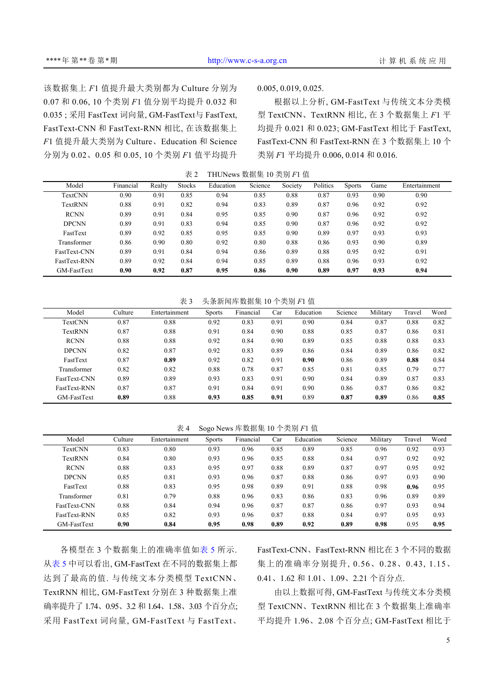该数据集上 *F*1 值提升最大类别都为 Culture 分别为 0.07 和 0.06, 10 个类别 *F*1 值分别平均提升 0.032 和 0.035 ; 采用 FastText 词向量, GM-FastText与 FastText, FastText-CNN 和 FastText-RNN 相比, 在该数据集上 *F*1 值提升最大类别为 Culture、Education 和 Science 分别为 0.02、0.05 和 0.05, 10 个类别 *F*1 值平均提升

0.005, 0.019, 0.025.

根据以上分析, GM-FastText 与传统文本分类模 型 TextCNN、TextRNN 相比, 在 3 个数据集上 *F*1 平 均提升 0.021 和 0.023; GM-FastText 相比于 FastText, FastText-CNN 和 FastText-RNN 在 3 个数据集上 10 个 类别 *F*1 平均提升 0.006, 0.014 和 0.016.

<span id="page-4-0"></span>表 2 THUNews 数据集 10 类别 *F*1 值

| Model          | Financial | Realty | <b>Stocks</b> | Education | Science | Society | Politics | <b>Sports</b> | Game | Entertainment |
|----------------|-----------|--------|---------------|-----------|---------|---------|----------|---------------|------|---------------|
| <b>TextCNN</b> | 0.90      | 0.91   | 0.85          | 0.94      | 0.85    | 0.88    | 0.87     | 0.93          | 0.90 | 0.90          |
| TextRNN        | 0.88      | 0.91   | 0.82          | 0.94      | 0.83    | 0.89    | 0.87     | 0.96          | 0.92 | 0.92          |
| <b>RCNN</b>    | 0.89      | 0.91   | 0.84          | 0.95      | 0.85    | 0.90    | 0.87     | 0.96          | 0.92 | 0.92          |
| <b>DPCNN</b>   | 0.89      | 0.91   | 0.83          | 0.94      | 0.85    | 0.90    | 0.87     | 0.96          | 0.92 | 0.92          |
| FastText       | 0.89      | 0.92   | 0.85          | 0.95      | 0.85    | 0.90    | 0.89     | 0.97          | 0.93 | 0.93          |
| Transformer    | 0.86      | 0.90   | 0.80          | 0.92      | 0.80    | 0.88    | 0.86     | 0.93          | 0.90 | 0.89          |
| FastText-CNN   | 0.89      | 0.91   | 0.84          | 0.94      | 0.86    | 0.89    | 0.88     | 0.95          | 0.92 | 0.91          |
| FastText-RNN   | 0.89      | 0.92   | 0.84          | 0.94      | 0.85    | 0.89    | 0.88     | 0.96          | 0.93 | 0.92          |
| GM-FastText    | 0.90      | 0.92   | 0.87          | 0.95      | 0.86    | 0.90    | 0.89     | 0.97          | 0.93 | 0.94          |

<span id="page-4-2"></span>表 3 头条新闻库数据集 10 个类别 *F*1 值

| Model          | Culture | Entertainment | <b>Sports</b> | Financial | Car  | Education | Science | Military | Travel | Word |
|----------------|---------|---------------|---------------|-----------|------|-----------|---------|----------|--------|------|
| <b>TextCNN</b> | 0.87    | 0.88          | 0.92          | 0.83      | 0.91 | 0.90      | 0.84    | 0.87     | 0.88   | 0.82 |
| TextRNN        | 0.87    | 0.88          | 0.91          | 0.84      | 0.90 | 0.88      | 0.85    | 0.87     | 0.86   | 0.81 |
| <b>RCNN</b>    | 0.88    | 0.88          | 0.92          | 0.84      | 0.90 | 0.89      | 0.85    | 0.88     | 0.88   | 0.83 |
| <b>DPCNN</b>   | 0.82    | 0.87          | 0.92          | 0.83      | 0.89 | 0.86      | 0.84    | 0.89     | 0.86   | 0.82 |
| FastText       | 0.87    | 0.89          | 0.92          | 0.82      | 0.91 | 0.90      | 0.86    | 0.89     | 0.88   | 0.84 |
| Transformer    | 0.82    | 0.82          | 0.88          | 0.78      | 0.87 | 0.85      | 0.81    | 0.85     | 0.79   | 0.77 |
| FastText-CNN   | 0.89    | 0.89          | 0.93          | 0.83      | 0.91 | 0.90      | 0.84    | 0.89     | 0.87   | 0.83 |
| FastText-RNN   | 0.87    | 0.87          | 0.91          | 0.84      | 0.91 | 0.90      | 0.86    | 0.87     | 0.86   | 0.82 |
| GM-FastText    | 0.89    | 0.88          | 0.93          | 0.85      | 0.91 | 0.89      | 0.87    | 0.89     | 0.86   | 0.85 |

<span id="page-4-1"></span>表 4 Sogo News 库数据集 10 个类别 *F*1 值

| Model        | Culture | Entertainment | <b>Sports</b> | Financial | Car  | Education | Science | Military | Travel | Word |
|--------------|---------|---------------|---------------|-----------|------|-----------|---------|----------|--------|------|
| TextCNN      | 0.83    | 0.80          | 0.93          | 0.96      | 0.85 | 0.89      | 0.85    | 0.96     | 0.92   | 0.93 |
| TextRNN      | 0.84    | 0.80          | 0.93          | 0.96      | 0.85 | 0.88      | 0.84    | 0.97     | 0.92   | 0.92 |
| <b>RCNN</b>  | 0.88    | 0.83          | 0.95          | 0.97      | 0.88 | 0.89      | 0.87    | 0.97     | 0.95   | 0.92 |
| <b>DPCNN</b> | 0.85    | 0.81          | 0.93          | 0.96      | 0.87 | 0.88      | 0.86    | 0.97     | 0.93   | 0.90 |
| FastText     | 0.88    | 0.83          | 0.95          | 0.98      | 0.89 | 0.91      | 0.88    | 0.98     | 0.96   | 0.95 |
| Transformer  | 0.81    | 0.79          | 0.88          | 0.96      | 0.83 | 0.86      | 0.83    | 0.96     | 0.89   | 0.89 |
| FastText-CNN | 0.88    | 0.84          | 0.94          | 0.96      | 0.87 | 0.87      | 0.86    | 0.97     | 0.93   | 0.94 |
| FastText-RNN | 0.85    | 0.82          | 0.93          | 0.96      | 0.87 | 0.88      | 0.84    | 0.97     | 0.95   | 0.93 |
| GM-FastText  | 0.90    | 0.84          | 0.95          | 0.98      | 0.89 | 0.92      | 0.89    | 0.98     | 0.95   | 0.95 |

各模型在 3 个数据集上的准确率值如[表](#page-5-14) [5](#page-5-14) 所示. [从表](#page-5-14) [5](#page-5-14) 中可以看出, GM-FastText 在不同的数据集上都 达到了最高的值. 与传统文本分类模型 TextCNN、 TextRNN 相比, GM-FastText 分别在 3 种数据集上准 确率提升了 1.74、0.95、3.2 和 1.64、1.58、3.03 个百分点; 采用 FastText 词向量, GM-FastText 与 FastText、

FastText-CNN、FastText-RNN 相比在 3 个不同的数据 集上的准确率分别提升, 0.56、0.28、0.43, 1.15、 0.41、1.62 和 1.01、1.09、2.21 个百分点.

由以上数据可得, GM-FastText 与传统文本分类模 型 TextCNN、TextRNN 相比在 3 个数据集上准确率 平均提升 1.96、2.08 个百分点; GM-FastText 相比于